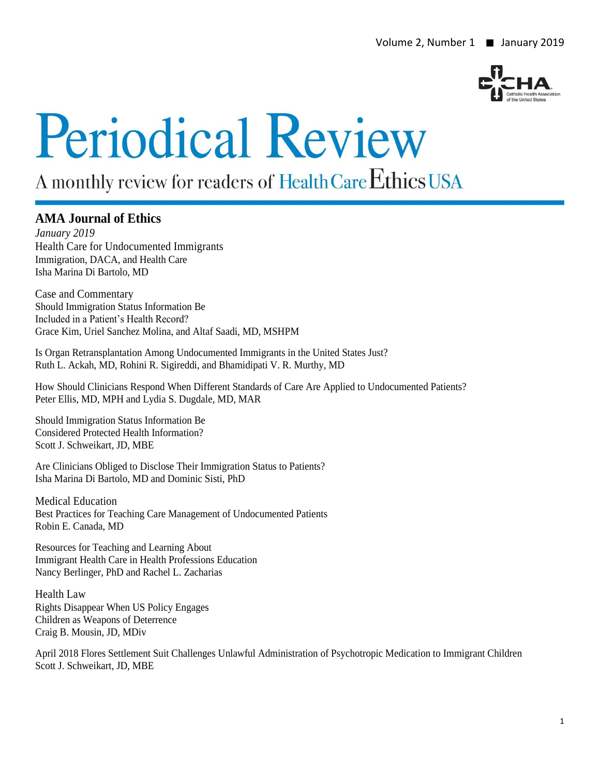

# **Periodical Review**

# A monthly review for readers of Health Care Ethics USA

# **AMA Journal of Ethics**

*January 2019* Health Care for Undocumented Immigrants Immigration, DACA, and Health Care Isha Marina Di Bartolo, MD

Case and Commentary Should Immigration Status Information Be Included in a Patient's Health Record? Grace Kim, Uriel Sanchez Molina, and Altaf Saadi, MD, MSHPM

Is Organ Retransplantation Among Undocumented Immigrants in the United States Just? Ruth L. Ackah, MD, Rohini R. Sigireddi, and Bhamidipati V. R. Murthy, MD

How Should Clinicians Respond When Different Standards of Care Are Applied to Undocumented Patients? Peter Ellis, MD, MPH and Lydia S. Dugdale, MD, MAR

Should Immigration Status Information Be Considered Protected Health Information? Scott J. Schweikart, JD, MBE

Are Clinicians Obliged to Disclose Their Immigration Status to Patients? Isha Marina Di Bartolo, MD and Dominic Sisti, PhD

Medical Education Best Practices for Teaching Care Management of Undocumented Patients Robin E. Canada, MD

Resources for Teaching and Learning About Immigrant Health Care in Health Professions Education Nancy Berlinger, PhD and Rachel L. Zacharias

Health Law Rights Disappear When US Policy Engages Children as Weapons of Deterrence Craig B. Mousin, JD, MDiv

April 2018 Flores Settlement Suit Challenges Unlawful Administration of Psychotropic Medication to Immigrant Children Scott J. Schweikart, JD, MBE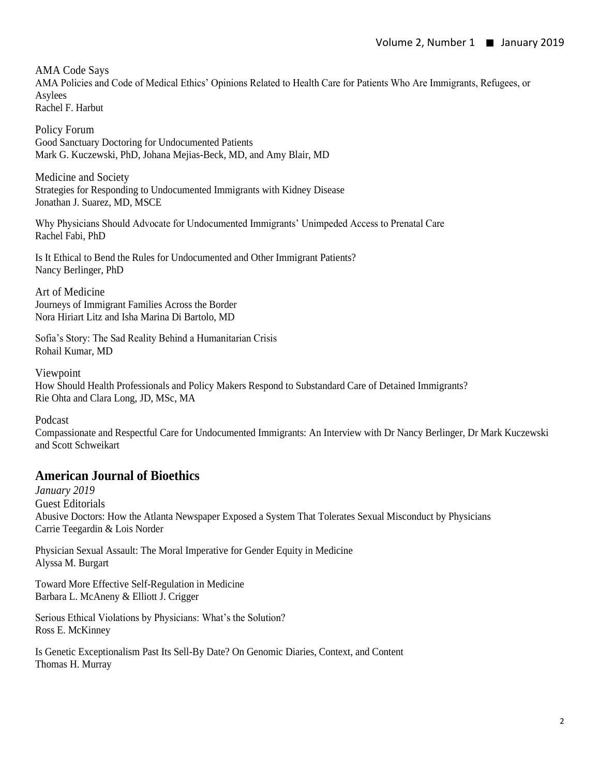AMA Code Says AMA Policies and Code of Medical Ethics' Opinions Related to Health Care for Patients Who Are Immigrants, Refugees, or Asylees Rachel F. Harbut

Policy Forum Good Sanctuary Doctoring for Undocumented Patients Mark G. Kuczewski, PhD, Johana Mejias-Beck, MD, and Amy Blair, MD

Medicine and Society Strategies for Responding to Undocumented Immigrants with Kidney Disease Jonathan J. Suarez, MD, MSCE

Why Physicians Should Advocate for Undocumented Immigrants' Unimpeded Access to Prenatal Care Rachel Fabi, PhD

Is It Ethical to Bend the Rules for Undocumented and Other Immigrant Patients? Nancy Berlinger, PhD

Art of Medicine Journeys of Immigrant Families Across the Border Nora Hiriart Litz and Isha Marina Di Bartolo, MD

Sofia's Story: The Sad Reality Behind a Humanitarian Crisis Rohail Kumar, MD

Viewpoint How Should Health Professionals and Policy Makers Respond to Substandard Care of Detained Immigrants? Rie Ohta and Clara Long, JD, MSc, MA

Podcast

Compassionate and Respectful Care for Undocumented Immigrants: An Interview with Dr Nancy Berlinger, Dr Mark Kuczewski and Scott Schweikart

# **American Journal of Bioethics**

*January 2019* Guest Editorials Abusive Doctors: How the Atlanta Newspaper Exposed a System That Tolerates Sexual Misconduct by Physicians Carrie Teegardin & Lois Norder

Physician Sexual Assault: The Moral Imperative for Gender Equity in Medicine Alyssa M. Burgart

Toward More Effective Self-Regulation in Medicine Barbara L. McAneny & Elliott J. Crigger

Serious Ethical Violations by Physicians: What's the Solution? Ross E. McKinney

Is Genetic Exceptionalism Past Its Sell-By Date? On Genomic Diaries, Context, and Content Thomas H. Murray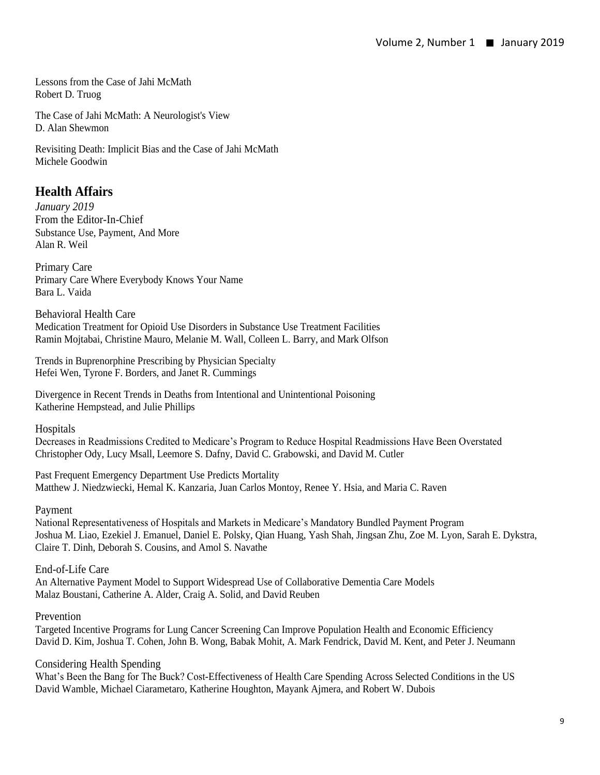Essays – Consensus and controversy fifty years after the Harvard report: the case of Jahi McMath Lessons from the Case of Jahi McMath Robert D. Truog

The Case of Jahi McMath: A Neurologist's View D. Alan Shewmon

Revisiting Death: Implicit Bias and the Case of Jahi McMath Michele Goodwin

## **Health Affairs**

*January 2019*  From the Editor-In-Chief Substance Use, Payment, And More Alan R. Weil

Primary Care Primary Care Where Everybody Knows Your Name Bara L. Vaida

Behavioral Health Care Medication Treatment for Opioid Use Disorders in Substance Use Treatment Facilities Ramin Mojtabai, Christine Mauro, Melanie M. Wall, Colleen L. Barry, and Mark Olfson

Trends in Buprenorphine Prescribing by Physician Specialty Hefei Wen, Tyrone F. Borders, and Janet R. Cummings

Divergence in Recent Trends in Deaths from Intentional and Unintentional Poisoning Katherine Hempstead, and Julie Phillips

**Hospitals** 

Decreases in Readmissions Credited to Medicare's Program to Reduce Hospital Readmissions Have Been Overstated Christopher Ody, Lucy Msall, Leemore S. Dafny, David C. Grabowski, and David M. Cutler

Past Frequent Emergency Department Use Predicts Mortality Matthew J. Niedzwiecki, Hemal K. Kanzaria, Juan Carlos Montoy, Renee Y. Hsia, and Maria C. Raven

#### Payment

National Representativeness of Hospitals and Markets in Medicare's Mandatory Bundled Payment Program Joshua M. Liao, Ezekiel J. Emanuel, Daniel E. Polsky, Qian Huang, Yash Shah, Jingsan Zhu, Zoe M. Lyon, Sarah E. Dykstra, Claire T. Dinh, Deborah S. Cousins, and Amol S. Navathe

End-of-Life Care An Alternative Payment Model to Support Widespread Use of Collaborative Dementia Care Models Malaz Boustani, Catherine A. Alder, Craig A. Solid, and David Reuben

#### Prevention

Targeted Incentive Programs for Lung Cancer Screening Can Improve Population Health and Economic Efficiency David D. Kim, Joshua T. Cohen, John B. Wong, Babak Mohit, A. Mark Fendrick, David M. Kent, and Peter J. Neumann

Considering Health Spending

What's Been the Bang for The Buck? Cost-Effectiveness of Health Care Spending Across Selected Conditions in the US David Wamble, Michael Ciarametaro, Katherine Houghton, Mayank Ajmera, and Robert W. Dubois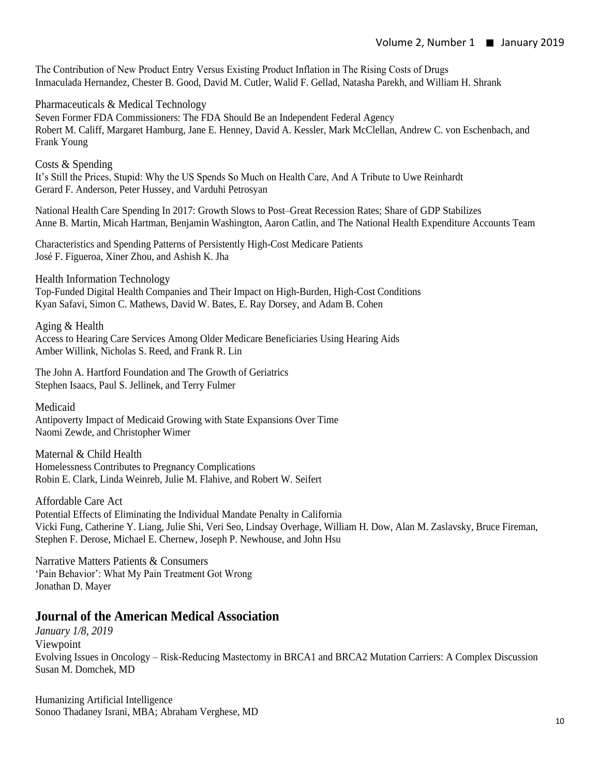The Contribution of New Product Entry Versus Existing Product Inflation in The Rising Costs of Drugs Inmaculada Hernandez, Chester B. Good, David M. Cutler, Walid F. Gellad, Natasha Parekh, and William H. Shrank

Pharmaceuticals & Medical Technology Seven Former FDA Commissioners: The FDA Should Be an Independent Federal Agency Robert M. Califf, Margaret Hamburg, Jane E. Henney, David A. Kessler, Mark McClellan, Andrew C. von Eschenbach, and Frank Young

Costs & Spending It's Still the Prices, Stupid: Why the US Spends So Much on Health Care, And A Tribute to Uwe Reinhardt Gerard F. Anderson, Peter Hussey, and Varduhi Petrosyan

National Health Care Spending In 2017: Growth Slows to Post–Great Recession Rates; Share of GDP Stabilizes Anne B. Martin, Micah Hartman, Benjamin Washington, Aaron Catlin, and The National Health Expenditure Accounts Team

Characteristics and Spending Patterns of Persistently High-Cost Medicare Patients José F. Figueroa, Xiner Zhou, and Ashish K. Jha

Health Information Technology Top-Funded Digital Health Companies and Their Impact on High-Burden, High-Cost Conditions Kyan Safavi, Simon C. Mathews, David W. Bates, E. Ray Dorsey, and Adam B. Cohen

Aging & Health Access to Hearing Care Services Among Older Medicare Beneficiaries Using Hearing Aids Amber Willink, Nicholas S. Reed, and Frank R. Lin

The John A. Hartford Foundation and The Growth of Geriatrics Stephen Isaacs, Paul S. Jellinek, and Terry Fulmer

Medicaid

Antipoverty Impact of Medicaid Growing with State Expansions Over Time Naomi Zewde, and Christopher Wimer

Maternal & Child Health Homelessness Contributes to Pregnancy Complications Robin E. Clark, Linda Weinreb, Julie M. Flahive, and Robert W. Seifert

Affordable Care Act Potential Effects of Eliminating the Individual Mandate Penalty in California Vicki Fung, Catherine Y. Liang, Julie Shi, Veri Seo, Lindsay Overhage, William H. Dow, Alan M. Zaslavsky, Bruce Fireman, Stephen F. Derose, Michael E. Chernew, Joseph P. Newhouse, and John Hsu

Narrative Matters Patients & Consumers 'Pain Behavior': What My Pain Treatment Got Wrong Jonathan D. Mayer

#### **Journal of the American Medical Association**

*January 1/8, 2019*  Viewpoint Evolving Issues in Oncology – Risk-Reducing Mastectomy in BRCA1 and BRCA2 Mutation Carriers: A Complex Discussion Susan M. Domchek, MD

Humanizing Artificial Intelligence Sonoo Thadaney Israni, MBA; Abraham Verghese, MD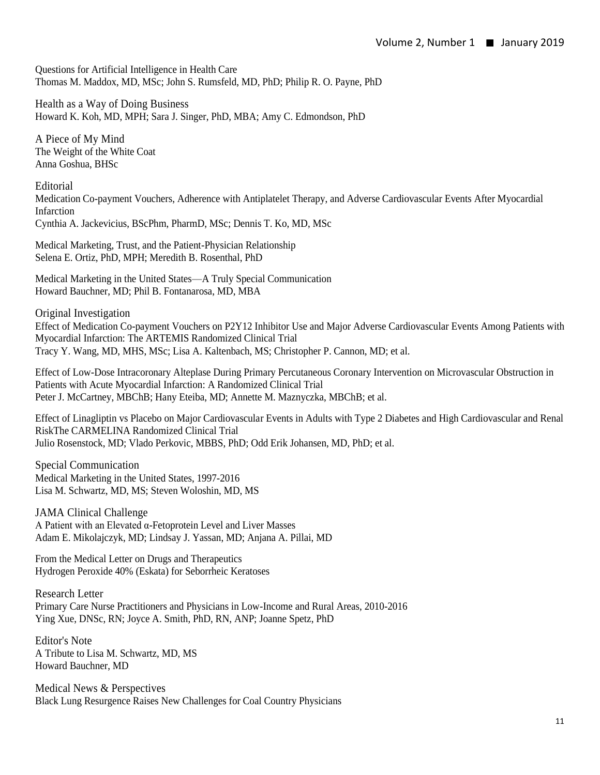Questions for Artificial Intelligence in Health Care Thomas M. Maddox, MD, MSc; John S. Rumsfeld, MD, PhD; Philip R. O. Payne, PhD

Health as a Way of Doing Business Howard K. Koh, MD, MPH; Sara J. Singer, PhD, MBA; Amy C. Edmondson, PhD

A Piece of My Mind The Weight of the White Coat Anna Goshua, BHSc

Editorial Medication Co-payment Vouchers, Adherence with Antiplatelet Therapy, and Adverse Cardiovascular Events After Myocardial Infarction Cynthia A. Jackevicius, BScPhm, PharmD, MSc; Dennis T. Ko, MD, MSc

Medical Marketing, Trust, and the Patient-Physician Relationship Selena E. Ortiz, PhD, MPH; Meredith B. Rosenthal, PhD

Medical Marketing in the United States—A Truly Special Communication Howard Bauchner, MD; Phil B. Fontanarosa, MD, MBA

Original Investigation Effect of Medication Co-payment Vouchers on P2Y12 Inhibitor Use and Major Adverse Cardiovascular Events Among Patients with Myocardial Infarction: The ARTEMIS Randomized Clinical Trial Tracy Y. Wang, MD, MHS, MSc; Lisa A. Kaltenbach, MS; Christopher P. Cannon, MD; et al.

Effect of Low-Dose Intracoronary Alteplase During Primary Percutaneous Coronary Intervention on Microvascular Obstruction in Patients with Acute Myocardial Infarction: A Randomized Clinical Trial Peter J. McCartney, MBChB; Hany Eteiba, MD; Annette M. Maznyczka, MBChB; et al.

Effect of Linagliptin vs Placebo on Major Cardiovascular Events in Adults with Type 2 Diabetes and High Cardiovascular and Renal RiskThe CARMELINA Randomized Clinical Trial Julio Rosenstock, MD; Vlado Perkovic, MBBS, PhD; Odd Erik Johansen, MD, PhD; et al.

Special Communication Medical Marketing in the United States, 1997-2016 Lisa M. Schwartz, MD, MS; Steven Woloshin, MD, MS

JAMA Clinical Challenge A Patient with an Elevated α-Fetoprotein Level and Liver Masses Adam E. Mikolajczyk, MD; Lindsay J. Yassan, MD; Anjana A. Pillai, MD

From the Medical Letter on Drugs and Therapeutics Hydrogen Peroxide 40% (Eskata) for Seborrheic Keratoses

Research Letter Primary Care Nurse Practitioners and Physicians in Low-Income and Rural Areas, 2010-2016 Ying Xue, DNSc, RN; Joyce A. Smith, PhD, RN, ANP; Joanne Spetz, PhD

Editor's Note A Tribute to Lisa M. Schwartz, MD, MS Howard Bauchner, MD

Medical News & Perspectives Black Lung Resurgence Raises New Challenges for Coal Country Physicians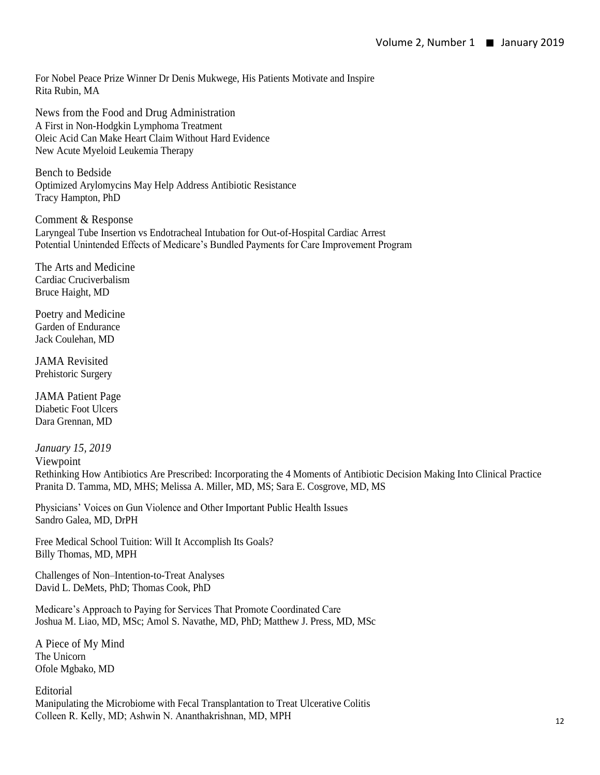For Nobel Peace Prize Winner Dr Denis Mukwege, His Patients Motivate and Inspire Rita Rubin, MA

News from the Food and Drug Administration A First in Non-Hodgkin Lymphoma Treatment Oleic Acid Can Make Heart Claim Without Hard Evidence New Acute Myeloid Leukemia Therapy

Bench to Bedside Optimized Arylomycins May Help Address Antibiotic Resistance Tracy Hampton, PhD

Comment & Response Laryngeal Tube Insertion vs Endotracheal Intubation for Out-of-Hospital Cardiac Arrest Potential Unintended Effects of Medicare's Bundled Payments for Care Improvement Program

The Arts and Medicine Cardiac Cruciverbalism Bruce Haight, MD

Poetry and Medicine Garden of Endurance Jack Coulehan, MD

JAMA Revisited Prehistoric Surgery

JAMA Patient Page Diabetic Foot Ulcers Dara Grennan, MD

*January 15, 2019*  Viewpoint Rethinking How Antibiotics Are Prescribed: Incorporating the 4 Moments of Antibiotic Decision Making Into Clinical Practice Pranita D. Tamma, MD, MHS; Melissa A. Miller, MD, MS; Sara E. Cosgrove, MD, MS

Physicians' Voices on Gun Violence and Other Important Public Health Issues Sandro Galea, MD, DrPH

Free Medical School Tuition: Will It Accomplish Its Goals? Billy Thomas, MD, MPH

Challenges of Non–Intention-to-Treat Analyses David L. DeMets, PhD; Thomas Cook, PhD

Medicare's Approach to Paying for Services That Promote Coordinated Care Joshua M. Liao, MD, MSc; Amol S. Navathe, MD, PhD; Matthew J. Press, MD, MSc

A Piece of My Mind The Unicorn Ofole Mgbako, MD

Editorial Manipulating the Microbiome with Fecal Transplantation to Treat Ulcerative Colitis Colleen R. Kelly, MD; Ashwin N. Ananthakrishnan, MD, MPH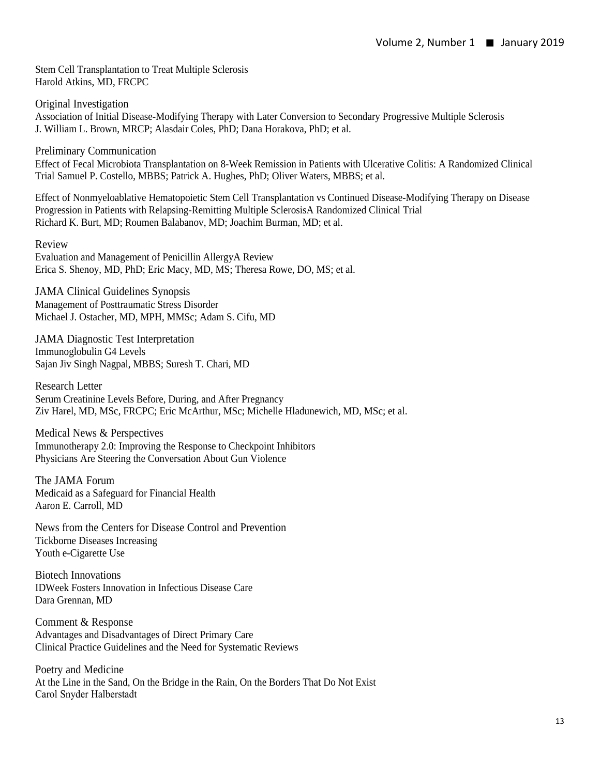Stem Cell Transplantation to Treat Multiple Sclerosis Harold Atkins, MD, FRCPC

Original Investigation Association of Initial Disease-Modifying Therapy with Later Conversion to Secondary Progressive Multiple Sclerosis J. William L. Brown, MRCP; Alasdair Coles, PhD; Dana Horakova, PhD; et al.

Preliminary Communication

Effect of Fecal Microbiota Transplantation on 8-Week Remission in Patients with Ulcerative Colitis: A Randomized Clinical Trial Samuel P. Costello, MBBS; Patrick A. Hughes, PhD; Oliver Waters, MBBS; et al.

Effect of Nonmyeloablative Hematopoietic Stem Cell Transplantation vs Continued Disease-Modifying Therapy on Disease Progression in Patients with Relapsing-Remitting Multiple SclerosisA Randomized Clinical Trial Richard K. Burt, MD; Roumen Balabanov, MD; Joachim Burman, MD; et al.

Review

Evaluation and Management of Penicillin AllergyA Review Erica S. Shenoy, MD, PhD; Eric Macy, MD, MS; Theresa Rowe, DO, MS; et al.

JAMA Clinical Guidelines Synopsis Management of Posttraumatic Stress Disorder Michael J. Ostacher, MD, MPH, MMSc; Adam S. Cifu, MD

JAMA Diagnostic Test Interpretation Immunoglobulin G4 Levels Sajan Jiv Singh Nagpal, MBBS; Suresh T. Chari, MD

Research Letter Serum Creatinine Levels Before, During, and After Pregnancy Ziv Harel, MD, MSc, FRCPC; Eric McArthur, MSc; Michelle Hladunewich, MD, MSc; et al.

Medical News & Perspectives Immunotherapy 2.0: Improving the Response to Checkpoint Inhibitors Physicians Are Steering the Conversation About Gun Violence

The JAMA Forum Medicaid as a Safeguard for Financial Health Aaron E. Carroll, MD

News from the Centers for Disease Control and Prevention Tickborne Diseases Increasing Youth e-Cigarette Use

Biotech Innovations IDWeek Fosters Innovation in Infectious Disease Care Dara Grennan, MD

Comment & Response Advantages and Disadvantages of Direct Primary Care Clinical Practice Guidelines and the Need for Systematic Reviews

Poetry and Medicine At the Line in the Sand, On the Bridge in the Rain, On the Borders That Do Not Exist Carol Snyder Halberstadt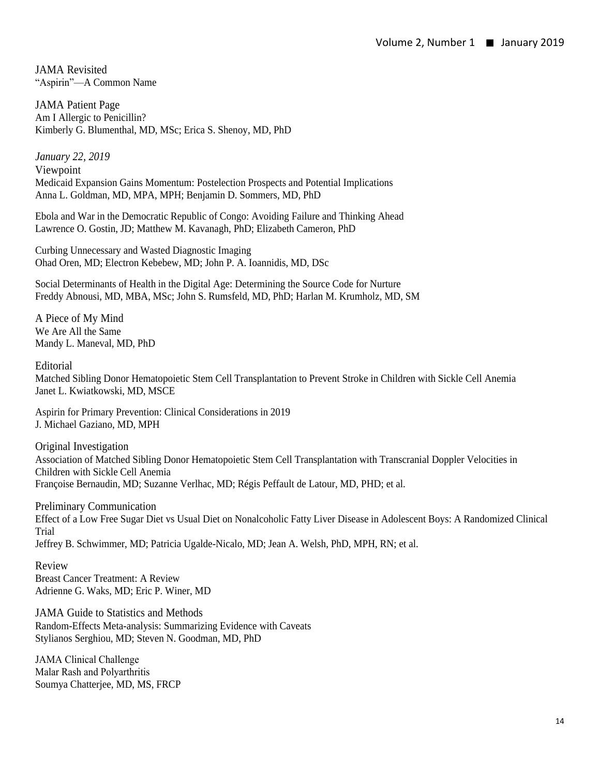JAMA Revisited "Aspirin"—A Common Name

JAMA Patient Page Am I Allergic to Penicillin? Kimberly G. Blumenthal, MD, MSc; Erica S. Shenoy, MD, PhD

*January 22, 2019*  Viewpoint Medicaid Expansion Gains Momentum: Postelection Prospects and Potential Implications Anna L. Goldman, MD, MPA, MPH; Benjamin D. Sommers, MD, PhD

Ebola and War in the Democratic Republic of Congo: Avoiding Failure and Thinking Ahead Lawrence O. Gostin, JD; Matthew M. Kavanagh, PhD; Elizabeth Cameron, PhD

Curbing Unnecessary and Wasted Diagnostic Imaging Ohad Oren, MD; Electron Kebebew, MD; John P. A. Ioannidis, MD, DSc

Social Determinants of Health in the Digital Age: Determining the Source Code for Nurture Freddy Abnousi, MD, MBA, MSc; John S. Rumsfeld, MD, PhD; Harlan M. Krumholz, MD, SM

A Piece of My Mind We Are All the Same Mandy L. Maneval, MD, PhD

Editorial

Matched Sibling Donor Hematopoietic Stem Cell Transplantation to Prevent Stroke in Children with Sickle Cell Anemia Janet L. Kwiatkowski, MD, MSCE

Aspirin for Primary Prevention: Clinical Considerations in 2019 J. Michael Gaziano, MD, MPH

Original Investigation Association of Matched Sibling Donor Hematopoietic Stem Cell Transplantation with Transcranial Doppler Velocities in Children with Sickle Cell Anemia Françoise Bernaudin, MD; Suzanne Verlhac, MD; Régis Peffault de Latour, MD, PHD; et al.

Preliminary Communication Effect of a Low Free Sugar Diet vs Usual Diet on Nonalcoholic Fatty Liver Disease in Adolescent Boys: A Randomized Clinical Trial Jeffrey B. Schwimmer, MD; Patricia Ugalde-Nicalo, MD; Jean A. Welsh, PhD, MPH, RN; et al.

Review Breast Cancer Treatment: A Review Adrienne G. Waks, MD; Eric P. Winer, MD

JAMA Guide to Statistics and Methods Random-Effects Meta-analysis: Summarizing Evidence with Caveats Stylianos Serghiou, MD; Steven N. Goodman, MD, PhD

JAMA Clinical Challenge Malar Rash and Polyarthritis Soumya Chatterjee, MD, MS, FRCP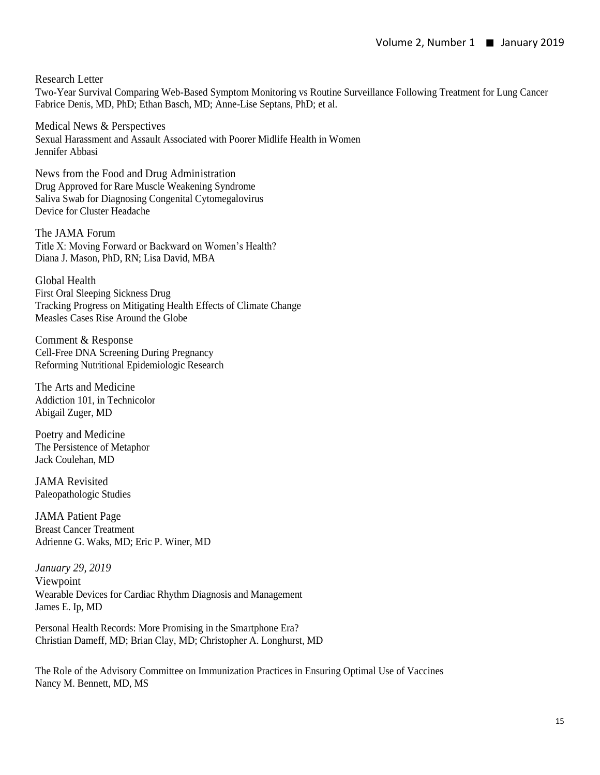Research Letter

Two-Year Survival Comparing Web-Based Symptom Monitoring vs Routine Surveillance Following Treatment for Lung Cancer Fabrice Denis, MD, PhD; Ethan Basch, MD; Anne-Lise Septans, PhD; et al.

Medical News & Perspectives Sexual Harassment and Assault Associated with Poorer Midlife Health in Women Jennifer Abbasi

News from the Food and Drug Administration Drug Approved for Rare Muscle Weakening Syndrome Saliva Swab for Diagnosing Congenital Cytomegalovirus Device for Cluster Headache

The JAMA Forum Title X: Moving Forward or Backward on Women's Health? Diana J. Mason, PhD, RN; Lisa David, MBA

Global Health First Oral Sleeping Sickness Drug Tracking Progress on Mitigating Health Effects of Climate Change Measles Cases Rise Around the Globe

Comment & Response Cell-Free DNA Screening During Pregnancy Reforming Nutritional Epidemiologic Research

The Arts and Medicine Addiction 101, in Technicolor Abigail Zuger, MD

Poetry and Medicine The Persistence of Metaphor Jack Coulehan, MD

JAMA Revisited Paleopathologic Studies

JAMA Patient Page Breast Cancer Treatment Adrienne G. Waks, MD; Eric P. Winer, MD

*January 29, 2019*  Viewpoint Wearable Devices for Cardiac Rhythm Diagnosis and Management James E. Ip, MD

Personal Health Records: More Promising in the Smartphone Era? Christian Dameff, MD; Brian Clay, MD; Christopher A. Longhurst, MD

The Role of the Advisory Committee on Immunization Practices in Ensuring Optimal Use of Vaccines Nancy M. Bennett, MD, MS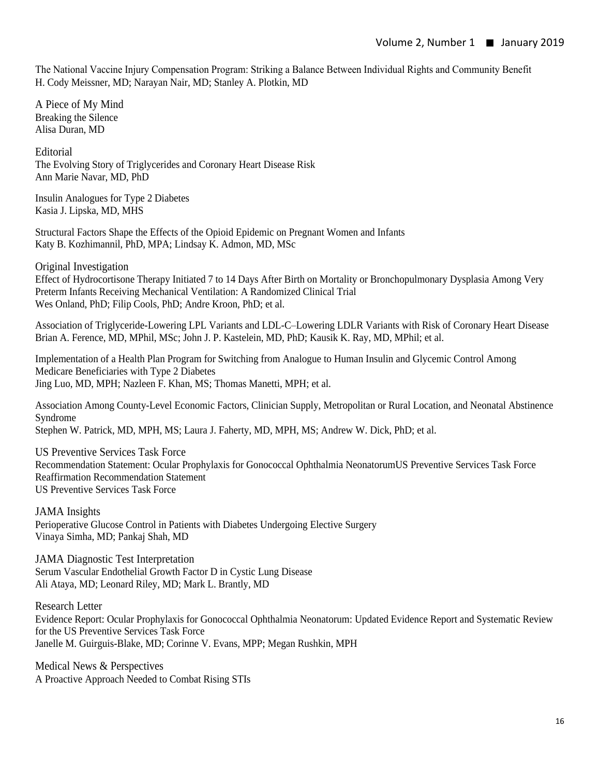The National Vaccine Injury Compensation Program: Striking a Balance Between Individual Rights and Community Benefit H. Cody Meissner, MD; Narayan Nair, MD; Stanley A. Plotkin, MD

A Piece of My Mind Breaking the Silence Alisa Duran, MD

Editorial The Evolving Story of Triglycerides and Coronary Heart Disease Risk Ann Marie Navar, MD, PhD

Insulin Analogues for Type 2 Diabetes Kasia J. Lipska, MD, MHS

Structural Factors Shape the Effects of the Opioid Epidemic on Pregnant Women and Infants Katy B. Kozhimannil, PhD, MPA; Lindsay K. Admon, MD, MSc

Original Investigation

Effect of Hydrocortisone Therapy Initiated 7 to 14 Days After Birth on Mortality or Bronchopulmonary Dysplasia Among Very Preterm Infants Receiving Mechanical Ventilation: A Randomized Clinical Trial Wes Onland, PhD; Filip Cools, PhD; Andre Kroon, PhD; et al.

Association of Triglyceride-Lowering LPL Variants and LDL-C–Lowering LDLR Variants with Risk of Coronary Heart Disease Brian A. Ference, MD, MPhil, MSc; John J. P. Kastelein, MD, PhD; Kausik K. Ray, MD, MPhil; et al.

Implementation of a Health Plan Program for Switching from Analogue to Human Insulin and Glycemic Control Among Medicare Beneficiaries with Type 2 Diabetes Jing Luo, MD, MPH; Nazleen F. Khan, MS; Thomas Manetti, MPH; et al.

Association Among County-Level Economic Factors, Clinician Supply, Metropolitan or Rural Location, and Neonatal Abstinence Syndrome Stephen W. Patrick, MD, MPH, MS; Laura J. Faherty, MD, MPH, MS; Andrew W. Dick, PhD; et al.

US Preventive Services Task Force Recommendation Statement: Ocular Prophylaxis for Gonococcal Ophthalmia NeonatorumUS Preventive Services Task Force Reaffirmation Recommendation Statement US Preventive Services Task Force

JAMA Insights Perioperative Glucose Control in Patients with Diabetes Undergoing Elective Surgery Vinaya Simha, MD; Pankaj Shah, MD

JAMA Diagnostic Test Interpretation Serum Vascular Endothelial Growth Factor D in Cystic Lung Disease Ali Ataya, MD; Leonard Riley, MD; Mark L. Brantly, MD

Research Letter Evidence Report: Ocular Prophylaxis for Gonococcal Ophthalmia Neonatorum: Updated Evidence Report and Systematic Review for the US Preventive Services Task Force Janelle M. Guirguis-Blake, MD; Corinne V. Evans, MPP; Megan Rushkin, MPH

Medical News & Perspectives A Proactive Approach Needed to Combat Rising STIs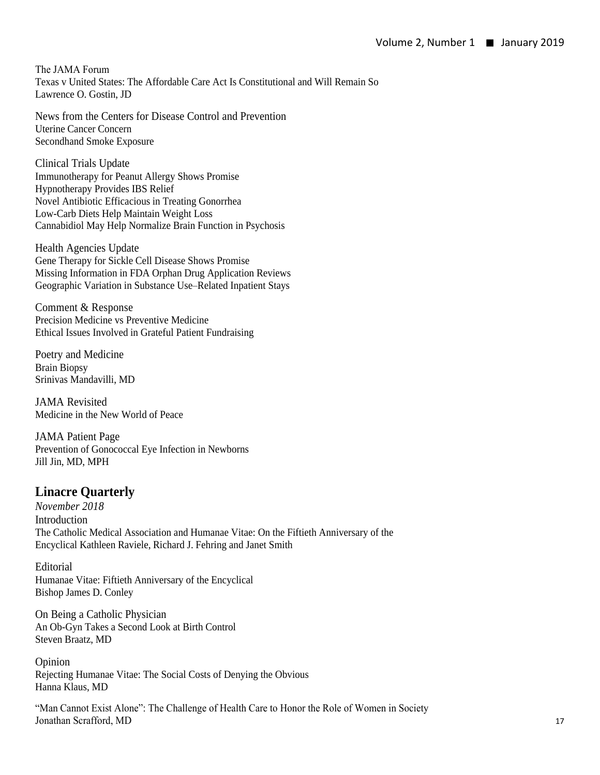The JAMA Forum Texas v United States: The Affordable Care Act Is Constitutional and Will Remain So Lawrence O. Gostin, JD

News from the Centers for Disease Control and Prevention Uterine Cancer Concern Secondhand Smoke Exposure

Clinical Trials Update Immunotherapy for Peanut Allergy Shows Promise Hypnotherapy Provides IBS Relief Novel Antibiotic Efficacious in Treating Gonorrhea Low-Carb Diets Help Maintain Weight Loss Cannabidiol May Help Normalize Brain Function in Psychosis

Health Agencies Update Gene Therapy for Sickle Cell Disease Shows Promise Missing Information in FDA Orphan Drug Application Reviews Geographic Variation in Substance Use–Related Inpatient Stays

Comment & Response Precision Medicine vs Preventive Medicine Ethical Issues Involved in Grateful Patient Fundraising

Poetry and Medicine Brain Biopsy Srinivas Mandavilli, MD

JAMA Revisited Medicine in the New World of Peace

JAMA Patient Page Prevention of Gonococcal Eye Infection in Newborns Jill Jin, MD, MPH

# **Linacre Quarterly**

*November 2018*  **Introduction** The Catholic Medical Association and Humanae Vitae: On the Fiftieth Anniversary of the Encyclical Kathleen Raviele, Richard J. Fehring and Janet Smith

Editorial Humanae Vitae: Fiftieth Anniversary of the Encyclical Bishop James D. Conley

On Being a Catholic Physician An Ob-Gyn Takes a Second Look at Birth Control Steven Braatz, MD

Opinion Rejecting Humanae Vitae: The Social Costs of Denying the Obvious Hanna Klaus, MD

"Man Cannot Exist Alone": The Challenge of Health Care to Honor the Role of Women in Society Jonathan Scrafford, MD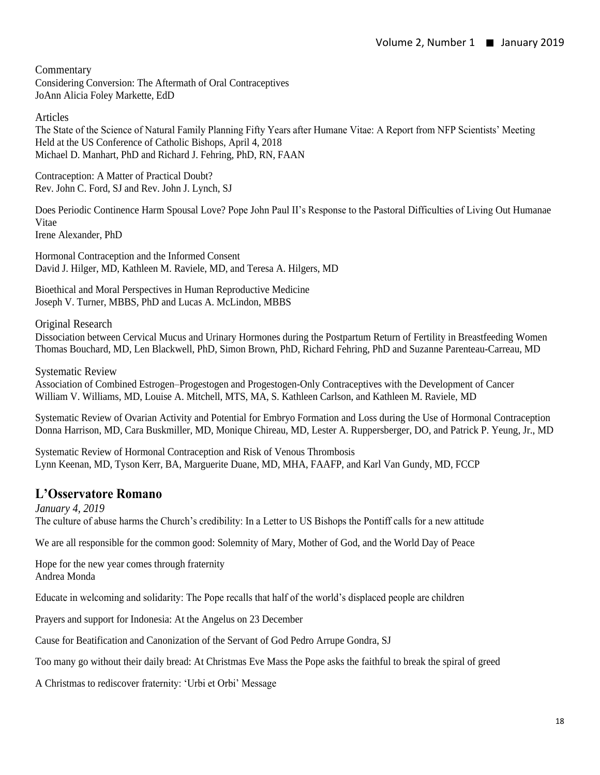Commentary Considering Conversion: The Aftermath of Oral Contraceptives JoAnn Alicia Foley Markette, EdD

Articles

The State of the Science of Natural Family Planning Fifty Years after Humane Vitae: A Report from NFP Scientists' Meeting Held at the US Conference of Catholic Bishops, April 4, 2018 Michael D. Manhart, PhD and Richard J. Fehring, PhD, RN, FAAN

Contraception: A Matter of Practical Doubt? Rev. John C. Ford, SJ and Rev. John J. Lynch, SJ

Does Periodic Continence Harm Spousal Love? Pope John Paul II's Response to the Pastoral Difficulties of Living Out Humanae Vitae Irene Alexander, PhD

Hormonal Contraception and the Informed Consent David J. Hilger, MD, Kathleen M. Raviele, MD, and Teresa A. Hilgers, MD

Bioethical and Moral Perspectives in Human Reproductive Medicine Joseph V. Turner, MBBS, PhD and Lucas A. McLindon, MBBS

Original Research

Dissociation between Cervical Mucus and Urinary Hormones during the Postpartum Return of Fertility in Breastfeeding Women Thomas Bouchard, MD, Len Blackwell, PhD, Simon Brown, PhD, Richard Fehring, PhD and Suzanne Parenteau-Carreau, MD

Systematic Review

Association of Combined Estrogen–Progestogen and Progestogen-Only Contraceptives with the Development of Cancer William V. Williams, MD, Louise A. Mitchell, MTS, MA, S. Kathleen Carlson, and Kathleen M. Raviele, MD

Systematic Review of Ovarian Activity and Potential for Embryo Formation and Loss during the Use of Hormonal Contraception Donna Harrison, MD, Cara Buskmiller, MD, Monique Chireau, MD, Lester A. Ruppersberger, DO, and Patrick P. Yeung, Jr., MD

Systematic Review of Hormonal Contraception and Risk of Venous Thrombosis Lynn Keenan, MD, Tyson Kerr, BA, Marguerite Duane, MD, MHA, FAAFP, and Karl Van Gundy, MD, FCCP

## **L'Osservatore Romano**

*January 4, 2019*  The culture of abuse harms the Church's credibility: In a Letter to US Bishops the Pontiff calls for a new attitude

We are all responsible for the common good: Solemnity of Mary, Mother of God, and the World Day of Peace

Hope for the new year comes through fraternity Andrea Monda

Educate in welcoming and solidarity: The Pope recalls that half of the world's displaced people are children

Prayers and support for Indonesia: At the Angelus on 23 December

Cause for Beatification and Canonization of the Servant of God Pedro Arrupe Gondra, SJ

Too many go without their daily bread: At Christmas Eve Mass the Pope asks the faithful to break the spiral of greed

A Christmas to rediscover fraternity: 'Urbi et Orbi' Message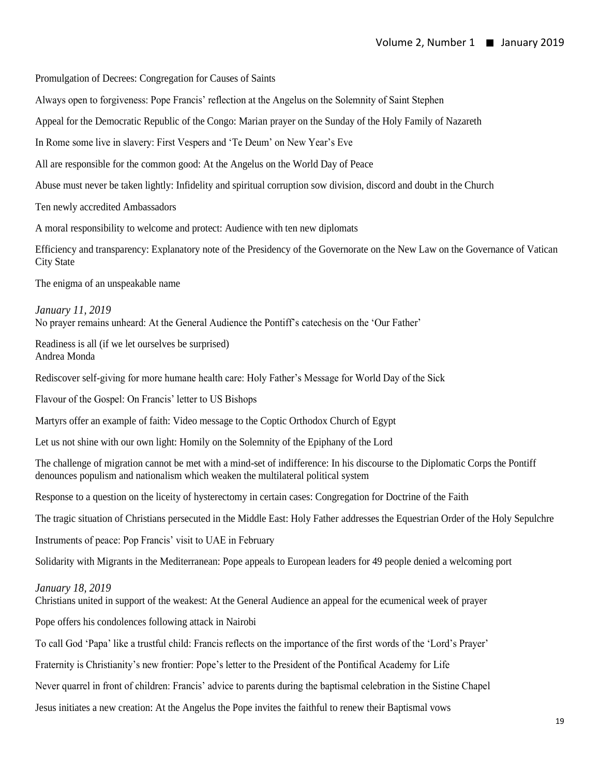Promulgation of Decrees: Congregation for Causes of Saints

Always open to forgiveness: Pope Francis' reflection at the Angelus on the Solemnity of Saint Stephen

Appeal for the Democratic Republic of the Congo: Marian prayer on the Sunday of the Holy Family of Nazareth

In Rome some live in slavery: First Vespers and 'Te Deum' on New Year's Eve

All are responsible for the common good: At the Angelus on the World Day of Peace

Abuse must never be taken lightly: Infidelity and spiritual corruption sow division, discord and doubt in the Church

Ten newly accredited Ambassadors

A moral responsibility to welcome and protect: Audience with ten new diplomats

Efficiency and transparency: Explanatory note of the Presidency of the Governorate on the New Law on the Governance of Vatican City State

The enigma of an unspeakable name

*January 11, 2019* No prayer remains unheard: At the General Audience the Pontiff's catechesis on the 'Our Father'

Readiness is all (if we let ourselves be surprised) Andrea Monda

Rediscover self-giving for more humane health care: Holy Father's Message for World Day of the Sick

Flavour of the Gospel: On Francis' letter to US Bishops

Martyrs offer an example of faith: Video message to the Coptic Orthodox Church of Egypt

Let us not shine with our own light: Homily on the Solemnity of the Epiphany of the Lord

The challenge of migration cannot be met with a mind-set of indifference: In his discourse to the Diplomatic Corps the Pontiff denounces populism and nationalism which weaken the multilateral political system

Response to a question on the liceity of hysterectomy in certain cases: Congregation for Doctrine of the Faith

The tragic situation of Christians persecuted in the Middle East: Holy Father addresses the Equestrian Order of the Holy Sepulchre

Instruments of peace: Pop Francis' visit to UAE in February

Solidarity with Migrants in the Mediterranean: Pope appeals to European leaders for 49 people denied a welcoming port

#### *January 18, 2019*

Christians united in support of the weakest: At the General Audience an appeal for the ecumenical week of prayer

Pope offers his condolences following attack in Nairobi

To call God 'Papa' like a trustful child: Francis reflects on the importance of the first words of the 'Lord's Prayer'

Fraternity is Christianity's new frontier: Pope's letter to the President of the Pontifical Academy for Life

Never quarrel in front of children: Francis' advice to parents during the baptismal celebration in the Sistine Chapel

Jesus initiates a new creation: At the Angelus the Pope invites the faithful to renew their Baptismal vows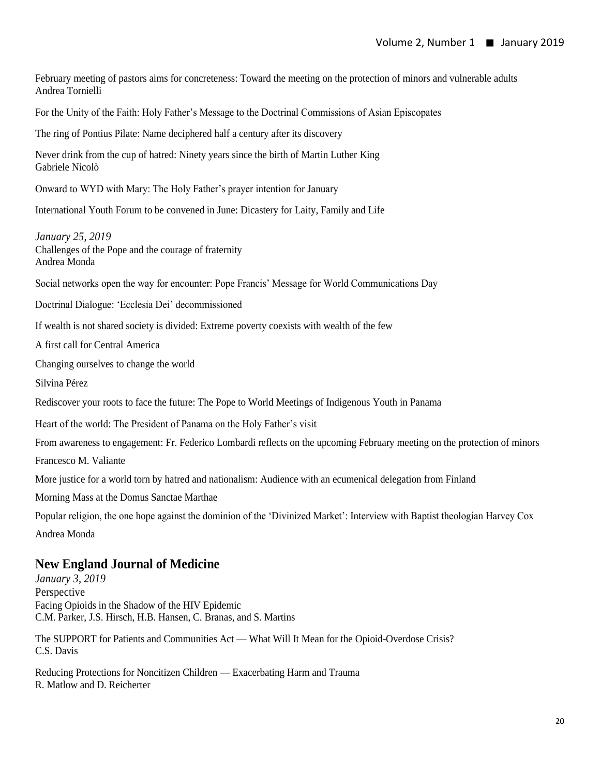February meeting of pastors aims for concreteness: Toward the meeting on the protection of minors and vulnerable adults Andrea Tornielli

For the Unity of the Faith: Holy Father's Message to the Doctrinal Commissions of Asian Episcopates

The ring of Pontius Pilate: Name deciphered half a century after its discovery

Never drink from the cup of hatred: Ninety years since the birth of Martin Luther King Gabriele Nicolò

Onward to WYD with Mary: The Holy Father's prayer intention for January

International Youth Forum to be convened in June: Dicastery for Laity, Family and Life

*January 25, 2019*  Challenges of the Pope and the courage of fraternity Andrea Monda

Social networks open the way for encounter: Pope Francis' Message for World Communications Day

Doctrinal Dialogue: 'Ecclesia Dei' decommissioned

If wealth is not shared society is divided: Extreme poverty coexists with wealth of the few

A first call for Central America

Changing ourselves to change the world

Silvina Pérez

Rediscover your roots to face the future: The Pope to World Meetings of Indigenous Youth in Panama

Heart of the world: The President of Panama on the Holy Father's visit

From awareness to engagement: Fr. Federico Lombardi reflects on the upcoming February meeting on the protection of minors

Francesco M. Valiante

More justice for a world torn by hatred and nationalism: Audience with an ecumenical delegation from Finland

Morning Mass at the Domus Sanctae Marthae

Popular religion, the one hope against the dominion of the 'Divinized Market': Interview with Baptist theologian Harvey Cox Andrea Monda

#### **New England Journal of Medicine**

*January 3, 2019*  Perspective Facing Opioids in the Shadow of the HIV Epidemic C.M. Parker, J.S. Hirsch, H.B. Hansen, C. Branas, and S. Martins

The SUPPORT for Patients and Communities Act — What Will It Mean for the Opioid-Overdose Crisis? C.S. Davis

Reducing Protections for Noncitizen Children — Exacerbating Harm and Trauma R. Matlow and D. Reicherter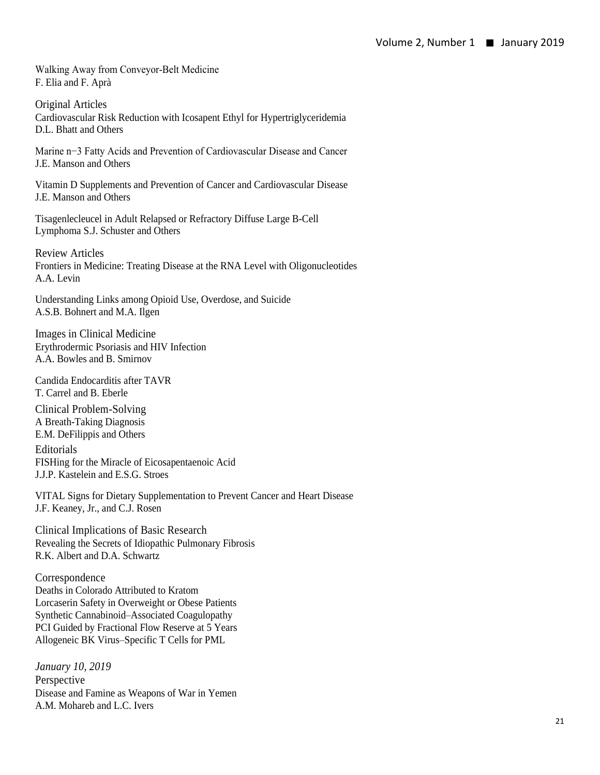Walking Away from Conveyor-Belt Medicine F. Elia and F. Aprà

Original Articles Cardiovascular Risk Reduction with Icosapent Ethyl for Hypertriglyceridemia D.L. Bhatt and Others

Marine n−3 Fatty Acids and Prevention of Cardiovascular Disease and Cancer J.E. Manson and Others

Vitamin D Supplements and Prevention of Cancer and Cardiovascular Disease J.E. Manson and Others

Tisagenlecleucel in Adult Relapsed or Refractory Diffuse Large B-Cell Lymphoma S.J. Schuster and Others

Review Articles Frontiers in Medicine: Treating Disease at the RNA Level with Oligonucleotides A.A. Levin

Understanding Links among Opioid Use, Overdose, and Suicide A.S.B. Bohnert and M.A. Ilgen

Images in Clinical Medicine Erythrodermic Psoriasis and HIV Infection A.A. Bowles and B. Smirnov

Candida Endocarditis after TAVR T. Carrel and B. Eberle

Clinical Problem-Solving A Breath-Taking Diagnosis E.M. DeFilippis and Others

Editorials FISHing for the Miracle of Eicosapentaenoic Acid J.J.P. Kastelein and E.S.G. Stroes

VITAL Signs for Dietary Supplementation to Prevent Cancer and Heart Disease J.F. Keaney, Jr., and C.J. Rosen

Clinical Implications of Basic Research Revealing the Secrets of Idiopathic Pulmonary Fibrosis R.K. Albert and D.A. Schwartz

Correspondence Deaths in Colorado Attributed to Kratom Lorcaserin Safety in Overweight or Obese Patients Synthetic Cannabinoid–Associated Coagulopathy PCI Guided by Fractional Flow Reserve at 5 Years Allogeneic BK Virus–Specific T Cells for PML

*January 10, 2019* Perspective Disease and Famine as Weapons of War in Yemen A.M. Mohareb and L.C. Ivers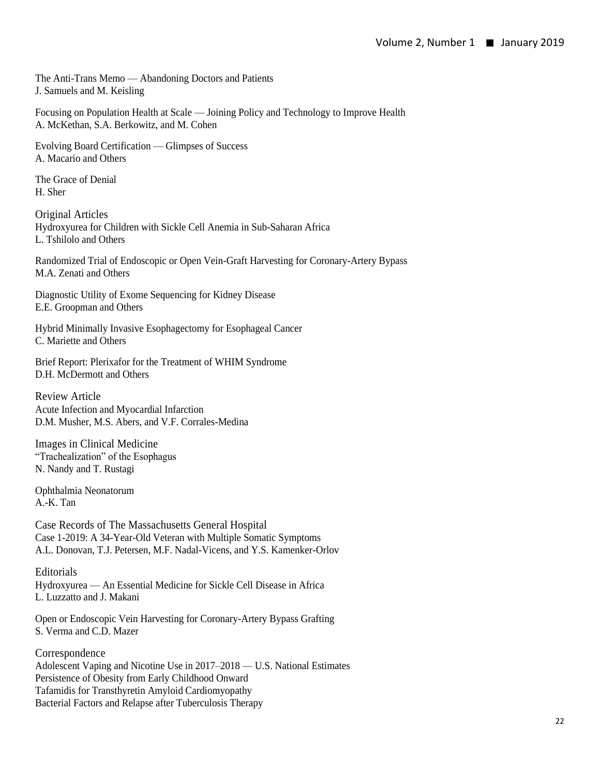The Anti-Trans Memo — Abandoning Doctors and Patients J. Samuels and M. Keisling

Focusing on Population Health at Scale — Joining Policy and Technology to Improve Health A. McKethan, S.A. Berkowitz, and M. Cohen

Evolving Board Certification — Glimpses of Success A. Macario and Others

The Grace of Denial H. Sher

Original Articles Hydroxyurea for Children with Sickle Cell Anemia in Sub-Saharan Africa L. Tshilolo and Others

Randomized Trial of Endoscopic or Open Vein-Graft Harvesting for Coronary-Artery Bypass M.A. Zenati and Others

Diagnostic Utility of Exome Sequencing for Kidney Disease E.E. Groopman and Others

Hybrid Minimally Invasive Esophagectomy for Esophageal Cancer C. Mariette and Others

Brief Report: Plerixafor for the Treatment of WHIM Syndrome D.H. McDermott and Others

Review Article Acute Infection and Myocardial Infarction D.M. Musher, M.S. Abers, and V.F. Corrales-Medina

Images in Clinical Medicine "Trachealization" of the Esophagus N. Nandy and T. Rustagi

Ophthalmia Neonatorum A.-K. Tan

Case Records of The Massachusetts General Hospital Case 1-2019: A 34-Year-Old Veteran with Multiple Somatic Symptoms A.L. Donovan, T.J. Petersen, M.F. Nadal-Vicens, and Y.S. Kamenker-Orlov

Editorials

Hydroxyurea — An Essential Medicine for Sickle Cell Disease in Africa L. Luzzatto and J. Makani

Open or Endoscopic Vein Harvesting for Coronary-Artery Bypass Grafting S. Verma and C.D. Mazer

**Correspondence** Adolescent Vaping and Nicotine Use in 2017–2018 — U.S. National Estimates Persistence of Obesity from Early Childhood Onward Tafamidis for Transthyretin Amyloid Cardiomyopathy Bacterial Factors and Relapse after Tuberculosis Therapy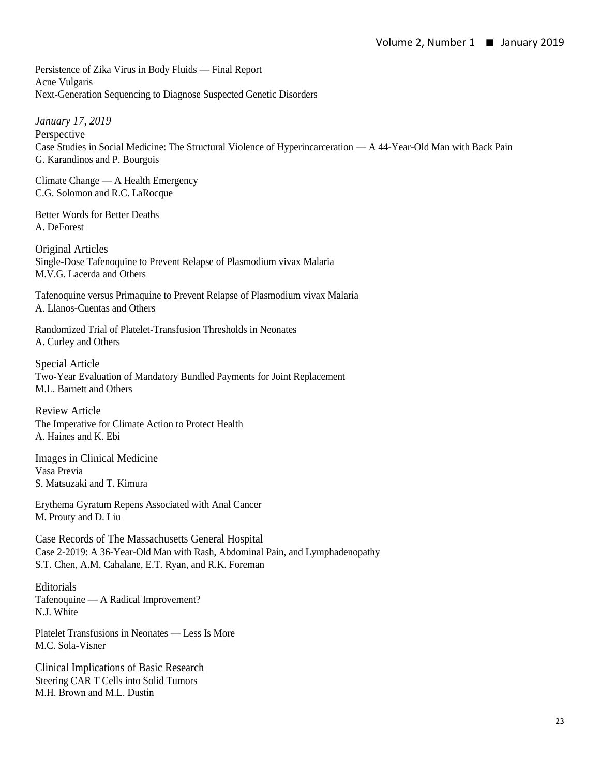Persistence of Zika Virus in Body Fluids — Final Report Acne Vulgaris Next-Generation Sequencing to Diagnose Suspected Genetic Disorders

*January 17, 2019* Perspective Case Studies in Social Medicine: The Structural Violence of Hyperincarceration — A 44-Year-Old Man with Back Pain G. Karandinos and P. Bourgois

Climate Change — A Health Emergency C.G. Solomon and R.C. LaRocque

Better Words for Better Deaths A. DeForest

Original Articles Single-Dose Tafenoquine to Prevent Relapse of Plasmodium vivax Malaria M.V.G. Lacerda and Others

Tafenoquine versus Primaquine to Prevent Relapse of Plasmodium vivax Malaria A. Llanos-Cuentas and Others

Randomized Trial of Platelet-Transfusion Thresholds in Neonates A. Curley and Others

Special Article Two-Year Evaluation of Mandatory Bundled Payments for Joint Replacement M.L. Barnett and Others

Review Article The Imperative for Climate Action to Protect Health A. Haines and K. Ebi

Images in Clinical Medicine Vasa Previa S. Matsuzaki and T. Kimura

Erythema Gyratum Repens Associated with Anal Cancer M. Prouty and D. Liu

Case Records of The Massachusetts General Hospital Case 2-2019: A 36-Year-Old Man with Rash, Abdominal Pain, and Lymphadenopathy S.T. Chen, A.M. Cahalane, E.T. Ryan, and R.K. Foreman

Editorials Tafenoquine — A Radical Improvement? N.J. White

Platelet Transfusions in Neonates — Less Is More M.C. Sola-Visner

Clinical Implications of Basic Research Steering CAR T Cells into Solid Tumors M.H. Brown and M.L. Dustin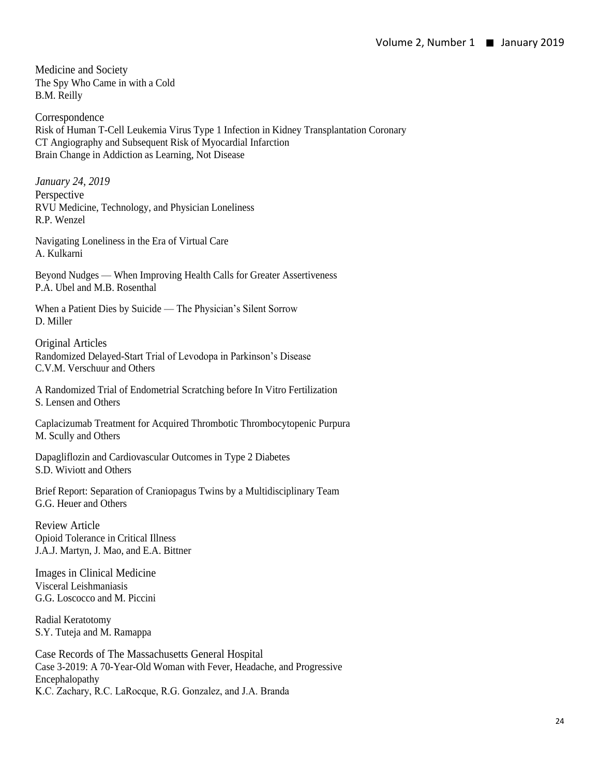Medicine and Society The Spy Who Came in with a Cold B.M. Reilly

Correspondence Risk of Human T-Cell Leukemia Virus Type 1 Infection in Kidney Transplantation Coronary CT Angiography and Subsequent Risk of Myocardial Infarction Brain Change in Addiction as Learning, Not Disease

*January 24, 2019*  Perspective RVU Medicine, Technology, and Physician Loneliness R.P. Wenzel

Navigating Loneliness in the Era of Virtual Care A. Kulkarni

Beyond Nudges — When Improving Health Calls for Greater Assertiveness P.A. Ubel and M.B. Rosenthal

When a Patient Dies by Suicide — The Physician's Silent Sorrow D. Miller

Original Articles Randomized Delayed-Start Trial of Levodopa in Parkinson's Disease C.V.M. Verschuur and Others

A Randomized Trial of Endometrial Scratching before In Vitro Fertilization S. Lensen and Others

Caplacizumab Treatment for Acquired Thrombotic Thrombocytopenic Purpura M. Scully and Others

Dapagliflozin and Cardiovascular Outcomes in Type 2 Diabetes S.D. Wiviott and Others

Brief Report: Separation of Craniopagus Twins by a Multidisciplinary Team G.G. Heuer and Others

Review Article Opioid Tolerance in Critical Illness J.A.J. Martyn, J. Mao, and E.A. Bittner

Images in Clinical Medicine Visceral Leishmaniasis G.G. Loscocco and M. Piccini

Radial Keratotomy S.Y. Tuteja and M. Ramappa

Case Records of The Massachusetts General Hospital Case 3-2019: A 70-Year-Old Woman with Fever, Headache, and Progressive Encephalopathy K.C. Zachary, R.C. LaRocque, R.G. Gonzalez, and J.A. Branda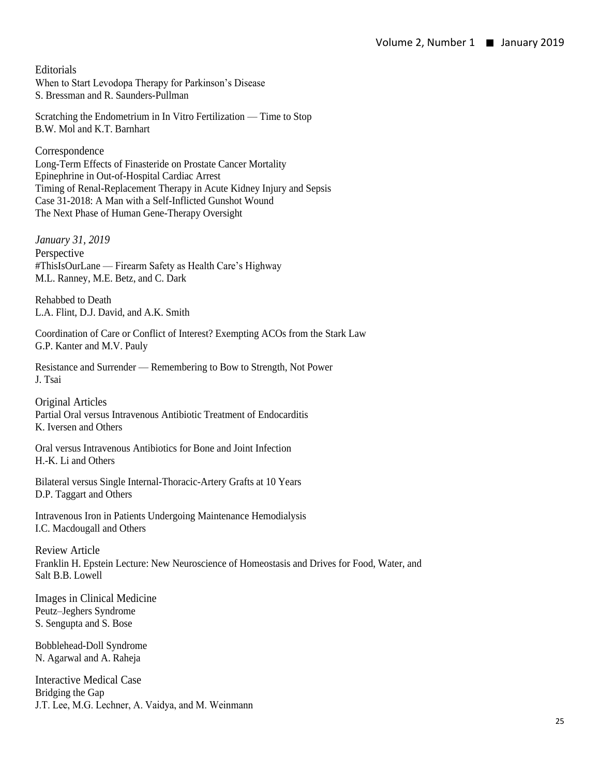Editorials

When to Start Levodopa Therapy for Parkinson's Disease S. Bressman and R. Saunders-Pullman

Scratching the Endometrium in In Vitro Fertilization — Time to Stop B.W. Mol and K.T. Barnhart

Correspondence Long-Term Effects of Finasteride on Prostate Cancer Mortality Epinephrine in Out-of-Hospital Cardiac Arrest Timing of Renal-Replacement Therapy in Acute Kidney Injury and Sepsis Case 31-2018: A Man with a Self-Inflicted Gunshot Wound The Next Phase of Human Gene-Therapy Oversight

*January 31, 2019*  Perspective #ThisIsOurLane — Firearm Safety as Health Care's Highway M.L. Ranney, M.E. Betz, and C. Dark

Rehabbed to Death L.A. Flint, D.J. David, and A.K. Smith

Coordination of Care or Conflict of Interest? Exempting ACOs from the Stark Law G.P. Kanter and M.V. Pauly

Resistance and Surrender — Remembering to Bow to Strength, Not Power J. Tsai

Original Articles Partial Oral versus Intravenous Antibiotic Treatment of Endocarditis K. Iversen and Others

Oral versus Intravenous Antibiotics for Bone and Joint Infection H.-K. Li and Others

Bilateral versus Single Internal-Thoracic-Artery Grafts at 10 Years D.P. Taggart and Others

Intravenous Iron in Patients Undergoing Maintenance Hemodialysis I.C. Macdougall and Others

Review Article Franklin H. Epstein Lecture: New Neuroscience of Homeostasis and Drives for Food, Water, and Salt B.B. Lowell

Images in Clinical Medicine Peutz–Jeghers Syndrome S. Sengupta and S. Bose

Bobblehead-Doll Syndrome N. Agarwal and A. Raheja

Interactive Medical Case Bridging the Gap J.T. Lee, M.G. Lechner, A. Vaidya, and M. Weinmann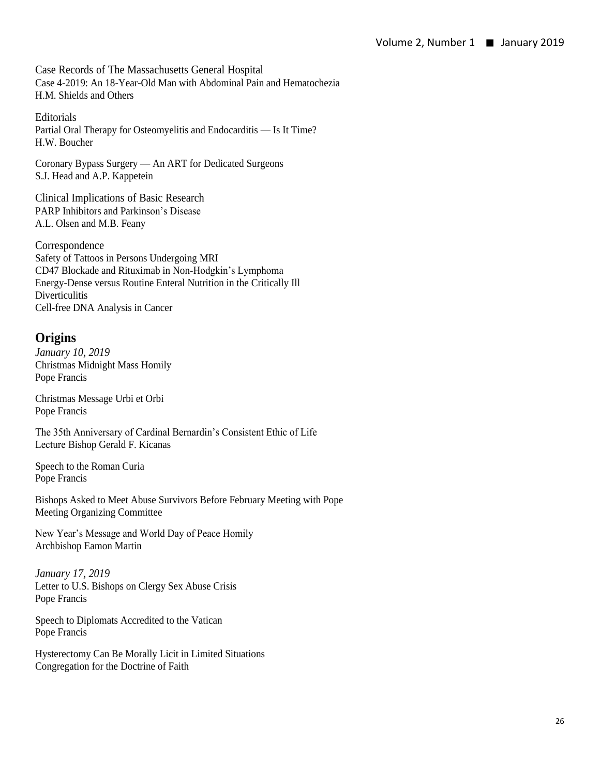Case Records of The Massachusetts General Hospital Case 4-2019: An 18-Year-Old Man with Abdominal Pain and Hematochezia H.M. Shields and Others

**Editorials** Partial Oral Therapy for Osteomyelitis and Endocarditis — Is It Time? H.W. Boucher

Coronary Bypass Surgery — An ART for Dedicated Surgeons S.J. Head and A.P. Kappetein

Clinical Implications of Basic Research PARP Inhibitors and Parkinson's Disease A.L. Olsen and M.B. Feany

Correspondence Safety of Tattoos in Persons Undergoing MRI CD47 Blockade and Rituximab in Non-Hodgkin's Lymphoma Energy-Dense versus Routine Enteral Nutrition in the Critically Ill **Diverticulitis** Cell-free DNA Analysis in Cancer

# **Origins**

*January 10, 2019*  Christmas Midnight Mass Homily Pope Francis

Christmas Message Urbi et Orbi Pope Francis

The 35th Anniversary of Cardinal Bernardin's Consistent Ethic of Life Lecture Bishop Gerald F. Kicanas

Speech to the Roman Curia Pope Francis

Bishops Asked to Meet Abuse Survivors Before February Meeting with Pope Meeting Organizing Committee

New Year's Message and World Day of Peace Homily Archbishop Eamon Martin

*January 17, 2019*  Letter to U.S. Bishops on Clergy Sex Abuse Crisis Pope Francis

Speech to Diplomats Accredited to the Vatican Pope Francis

Hysterectomy Can Be Morally Licit in Limited Situations Congregation for the Doctrine of Faith